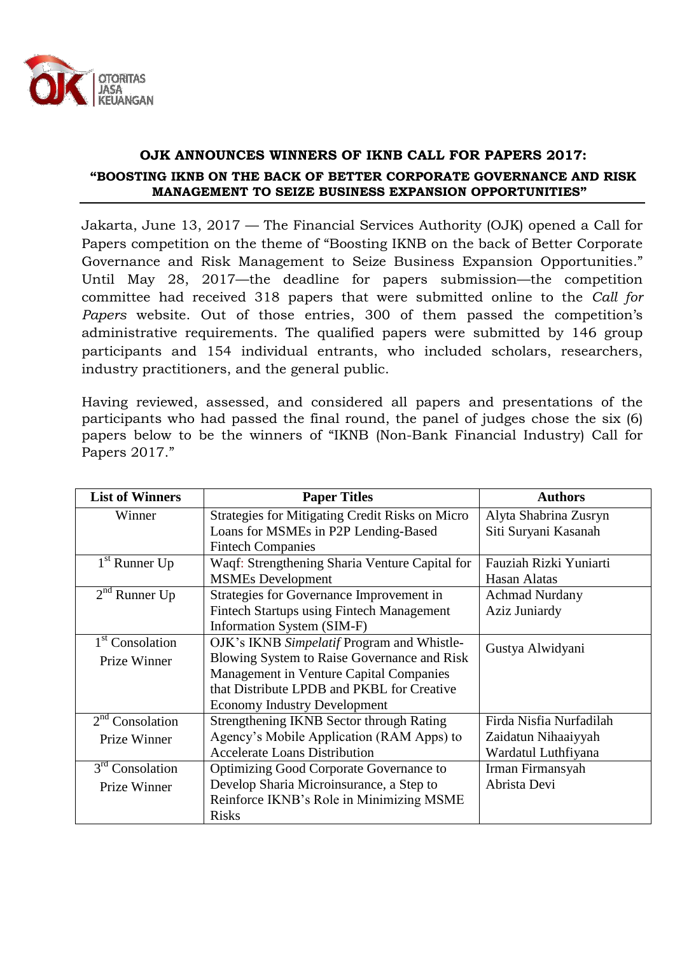

## **OJK ANNOUNCES WINNERS OF IKNB CALL FOR PAPERS 2017: "BOOSTING IKNB ON THE BACK OF BETTER CORPORATE GOVERNANCE AND RISK MANAGEMENT TO SEIZE BUSINESS EXPANSION OPPORTUNITIES"**

Jakarta, June 13, 2017 — The Financial Services Authority (OJK) opened a Call for Papers competition on the theme of "Boosting IKNB on the back of Better Corporate Governance and Risk Management to Seize Business Expansion Opportunities." Until May 28, 2017—the deadline for papers submission—the competition committee had received 318 papers that were submitted online to the *Call for Papers* website. Out of those entries, 300 of them passed the competition's administrative requirements. The qualified papers were submitted by 146 group participants and 154 individual entrants, who included scholars, researchers, industry practitioners, and the general public.

Having reviewed, assessed, and considered all papers and presentations of the participants who had passed the final round, the panel of judges chose the six (6) papers below to be the winners of "IKNB (Non-Bank Financial Industry) Call for Papers 2017."

| <b>List of Winners</b>      | <b>Paper Titles</b>                                    | <b>Authors</b>          |
|-----------------------------|--------------------------------------------------------|-------------------------|
| Winner                      | <b>Strategies for Mitigating Credit Risks on Micro</b> | Alyta Shabrina Zusryn   |
|                             | Loans for MSMEs in P2P Lending-Based                   | Siti Suryani Kasanah    |
|                             | <b>Fintech Companies</b>                               |                         |
| $1st$ Runner Up             | Waqf: Strengthening Sharia Venture Capital for         | Fauziah Rizki Yuniarti  |
|                             | <b>MSMEs Development</b>                               | Hasan Alatas            |
| $2nd$ Runner Up             | Strategies for Governance Improvement in               | <b>Achmad Nurdany</b>   |
|                             | <b>Fintech Startups using Fintech Management</b>       | Aziz Juniardy           |
|                             | Information System (SIM-F)                             |                         |
| 1 <sup>st</sup> Consolation | OJK's IKNB Simpelatif Program and Whistle-             | Gustya Alwidyani        |
| Prize Winner                | Blowing System to Raise Governance and Risk            |                         |
|                             | Management in Venture Capital Companies                |                         |
|                             | that Distribute LPDB and PKBL for Creative             |                         |
|                             | <b>Economy Industry Development</b>                    |                         |
| $2nd$ Consolation           | Strengthening IKNB Sector through Rating               | Firda Nisfia Nurfadilah |
| Prize Winner                | Agency's Mobile Application (RAM Apps) to              | Zaidatun Nihaaiyyah     |
|                             | <b>Accelerate Loans Distribution</b>                   | Wardatul Luthfiyana     |
| $3rd$ Consolation           | <b>Optimizing Good Corporate Governance to</b>         | Irman Firmansyah        |
| Prize Winner                | Develop Sharia Microinsurance, a Step to               | Abrista Devi            |
|                             | Reinforce IKNB's Role in Minimizing MSME               |                         |
|                             | <b>Risks</b>                                           |                         |